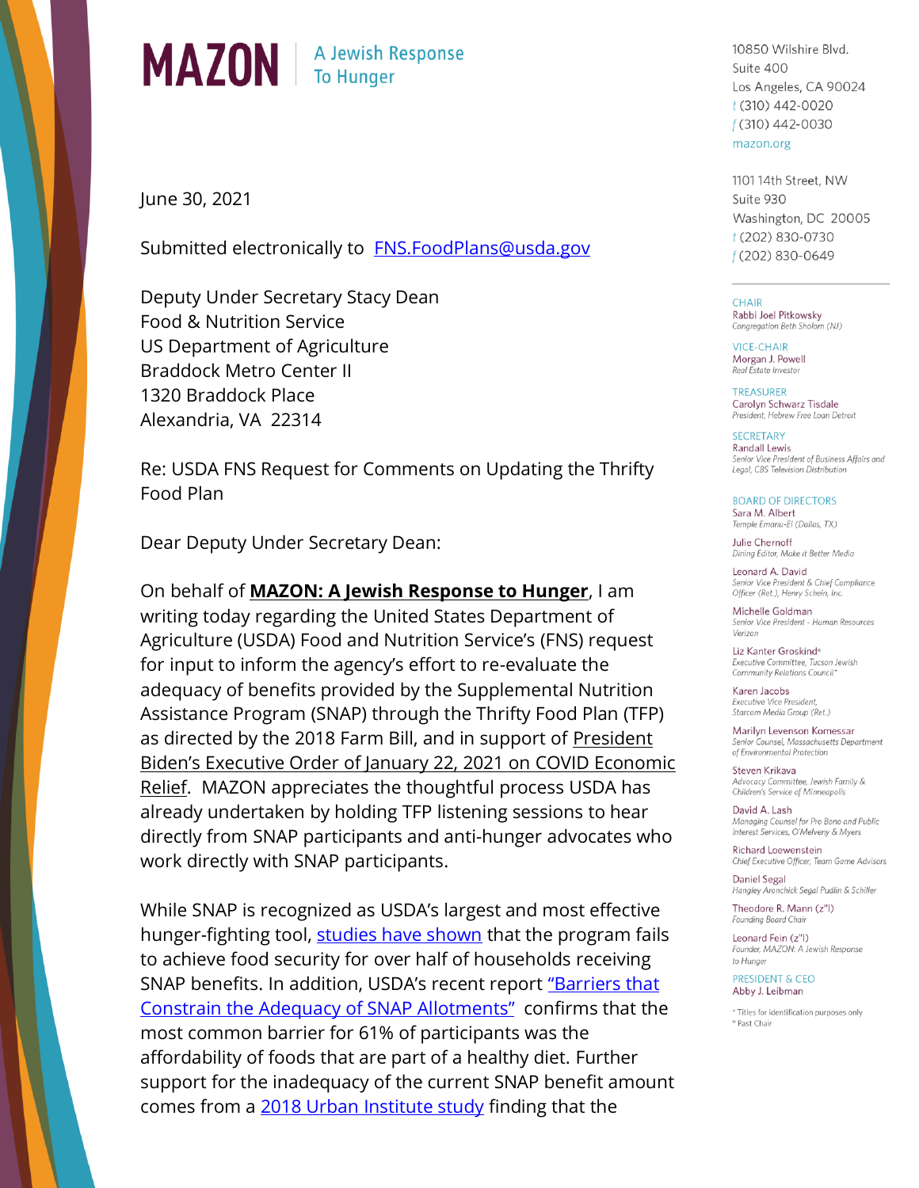

June 30, 2021

Submitted electronically to FNS.FoodPlans@usda.gov

Deputy Under Secretary Stacy Dean Food & Nutrition Service US Department of Agriculture **Braddock Metro Center II** 1320 Braddock Place Alexandria, VA 22314

Re: USDA FNS Request for Comments on Updating the Thrifty Food Plan

Dear Deputy Under Secretary Dean:

On behalf of **MAZON: A Jewish Response to Hunger**, I am writing today regarding the United States Department of Agriculture (USDA) Food and Nutrition Service's (FNS) request for input to inform the agency's effort to re-evaluate the adequacy of benefits provided by the Supplemental Nutrition Assistance Program (SNAP) through the Thrifty Food Plan (TFP) as directed by the 2018 Farm Bill, and in support of President Biden's Executive Order of January 22, 2021 on COVID Economic Relief. MAZON appreciates the thoughtful process USDA has already undertaken by holding TFP listening sessions to hear directly from SNAP participants and anti-hunger advocates who work directly with SNAP participants.

While SNAP is recognized as USDA's largest and most effective hunger-fighting tool, studies have shown that the program fails to achieve food security for over half of households receiving SNAP benefits. In addition, USDA's recent report "Barriers that Constrain the Adequacy of SNAP Allotments" confirms that the most common barrier for 61% of participants was the affordability of foods that are part of a healthy diet. Further support for the inadequacy of the current SNAP benefit amount comes from a 2018 Urban Institute study finding that the

10850 Wilshire Blvd. Suite 400 Los Angeles, CA 90024  $t(310)$  442-0020  $f(310)$  442-0030 mazon.org

1101 14th Street, NW Suite 930 Washington, DC 20005 t (202) 830-0730 f (202) 830-0649

**CHAIR** Rabbi Joel Pitkowsky Congregation Beth Sholom (NJ)

VICE-CHAIR Morgan J. Powell Real Estate Investor

**TREASURER** Carolyn Schwarz Tisdale President, Hebrew Free Loan Detroit

**SECRETARY Randall Lewis** Senior Vice President of Business Affairs and Legal, CBS Television Distribution

**BOARD OF DIRECTORS** Sara M. Albert Temple Emanu-El (Dallas, TX)

Julie Chernoff Dining Editor, Make it Better Media

Leonard A. David Senior Vice President & Chief Compliance Officer (Ret.), Henry Schein, Inc.

Michelle Goldman Senior Vice President - Human Resources Verizon

Liz Kanter Groskind<sup>®</sup> Executive Committee, Tucson Jewish Community Relations Council\*

Karen Jacobs Executive Vice President, Starcom Media Group (Ret.)

Marilyn Levenson Komessar of Environmental Protection

Steven Krikava Advocacy Committee, Jewish Family & Children's Service of Minneapolis

David A. Lash Managing Counsel for Pro Bono and Public Interest Services, O'Melveny & Myers

Richard Loewenstein Chief Executive Officer, Team Game Advisors

**Daniel Segal** Hangley Aronchick Segal Pudlin & Schiller

Theodore R. Mann (z"l) Founding Board Chair

Leonard Fein (z"l) Founder, MAZON: A Jewish Response to Hunger

PRESIDENT & CEO Abby J. Leibman

\* Titles for identification purposes only ° Past Chair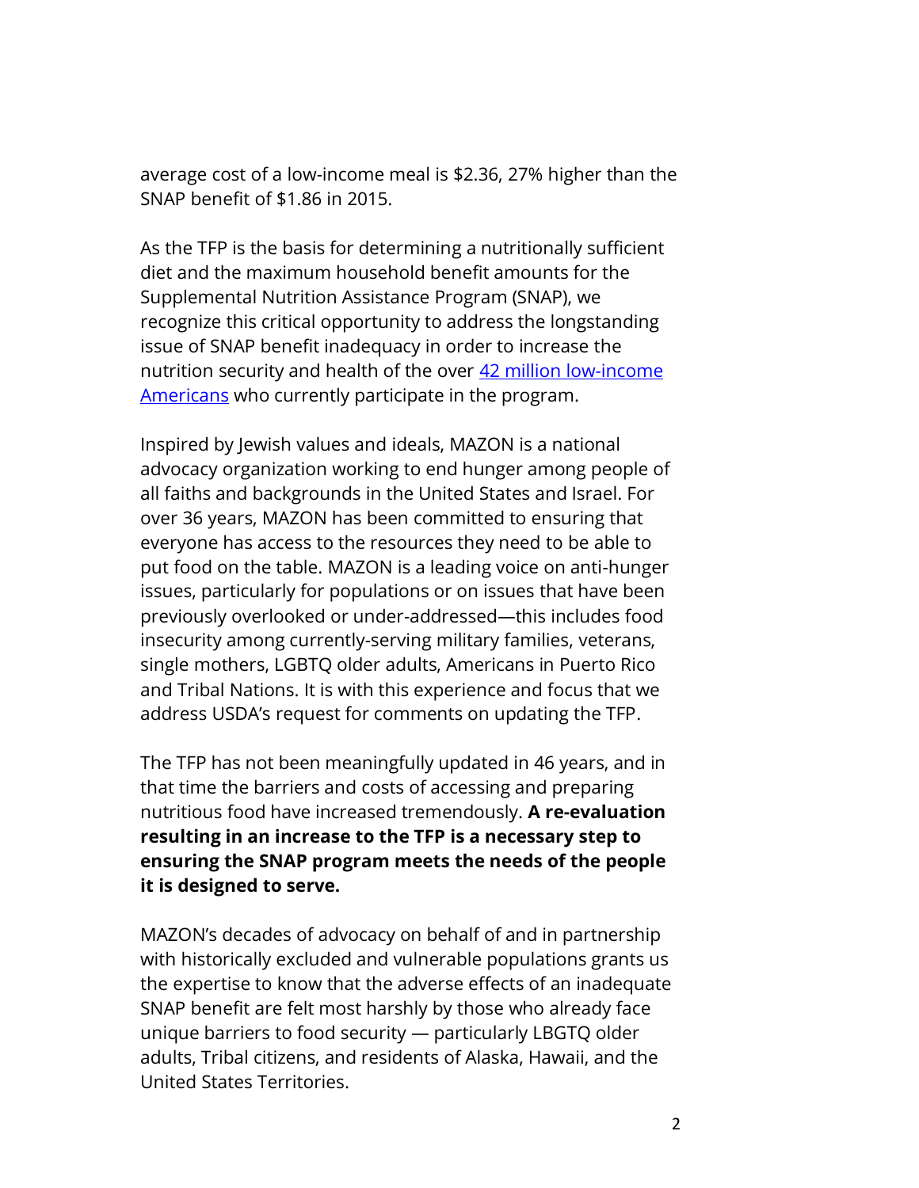average cost of a low-income meal is \$2.36, 27% higher than the SNAP benefit of \$1.86 in 2015.

As the TFP is the basis for determining a nutritionally sufficient diet and the maximum household benefit amounts for the Supplemental Nutrition Assistance Program (SNAP), we recognize this critical opportunity to address the longstanding issue of SNAP benefit inadequacy in order to increase the nutrition security and health of the over 42 million low-income [Americans](https://fns-prod.azureedge.net/sites/default/files/resource-files/29SNAPcurrPP-6.pdf) who currently participate in the program.

Inspired by Jewish values and ideals, MAZON is a national advocacy organization working to end hunger among people of all faiths and backgrounds in the United States and Israel. For over 36 years, MAZON has been committed to ensuring that everyone has access to the resources they need to be able to put food on the table. MAZON is a leading voice on anti-hunger issues, particularly for populations or on issues that have been previously overlooked or under-addressed—this includes food insecurity among currently-serving military families, veterans, single mothers, LGBTQ older adults, Americans in Puerto Rico and Tribal Nations. It is with this experience and focus that we address USDA's request for comments on updating the TFP.

The TFP has not been meaningfully updated in 46 years, and in that time the barriers and costs of accessing and preparing nutritious food have increased tremendously. **A re-evaluation resulting in an increase to the TFP is a necessary step to ensuring the SNAP program meets the needs of the people it is designed to serve.** 

MAZON's decades of advocacy on behalf of and in partnership with historically excluded and vulnerable populations grants us the expertise to know that the adverse effects of an inadequate SNAP benefit are felt most harshly by those who already face unique barriers to food security — particularly LBGTQ older adults, Tribal citizens, and residents of Alaska, Hawaii, and the United States Territories.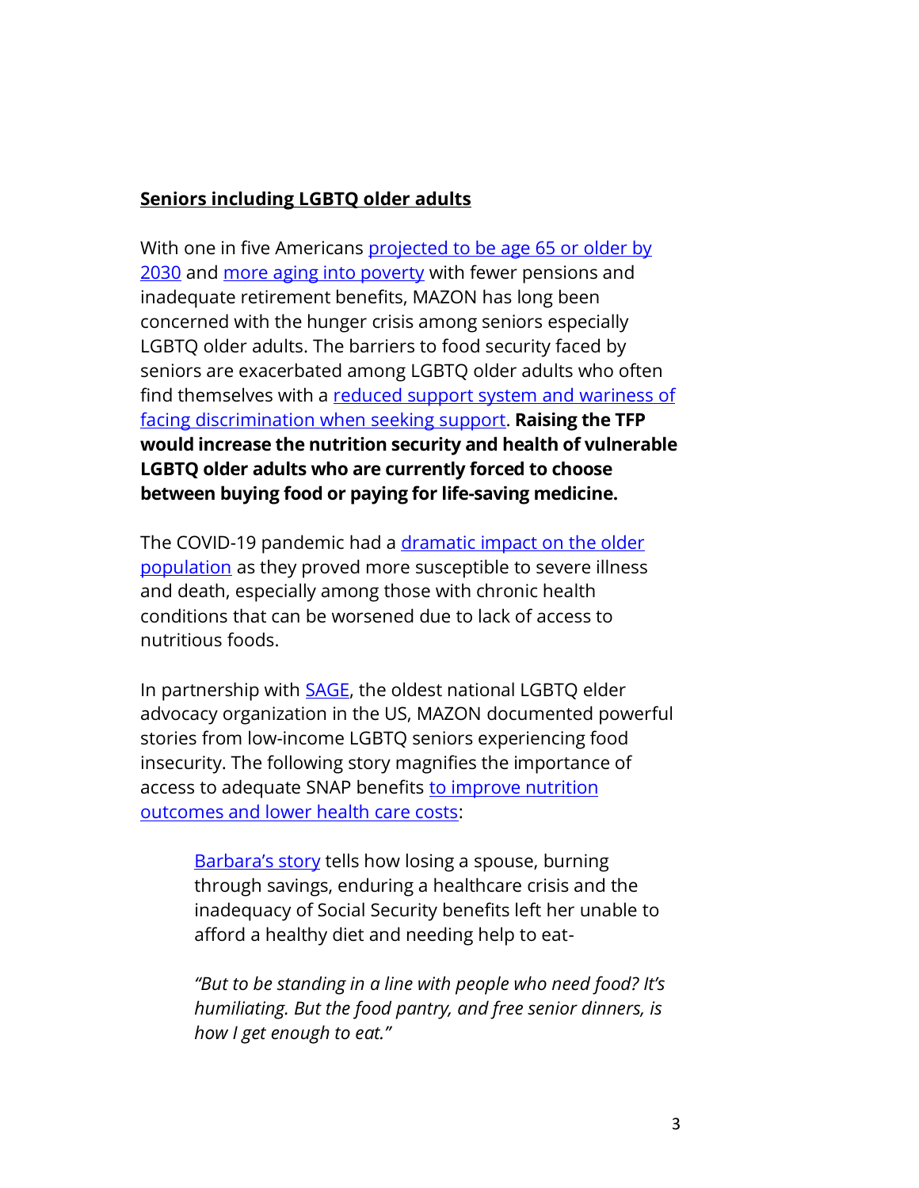#### **Seniors including LGBTQ older adults**

With one in five Americans [projected to be age 65 or older by](https://www.census.gov/content/dam/Census/library/publications/2015/demo/p25-1143.pdf)  [2030](https://www.census.gov/content/dam/Census/library/publications/2015/demo/p25-1143.pdf) and [more aging into poverty](https://justiceinaging.org/get-involved/senior-poverty/#:~:text=Senior%20poverty%20is%20on%20the,age%20into%20poverty%20than%20men.) with fewer pensions and inadequate retirement benefits, MAZON has long been concerned with the hunger crisis among seniors especially LGBTQ older adults. The barriers to food security faced by seniors are exacerbated among LGBTQ older adults who often find themselves with a reduced support system and wariness of [facing discrimination when seeking support.](https://williamsinstitute.law.ucla.edu/publications/lgbtq-experiences-food-bank/) **Raising the TFP would increase the nutrition security and health of vulnerable LGBTQ older adults who are currently forced to choose between buying food or paying for life-saving medicine.** 

The COVID-19 pandemic had a dramatic impact on the older [population](https://www.cdc.gov/coronavirus/2019-ncov/hcp/clinical-care/underlyingconditions.html) as they proved more susceptible to severe illness and death, especially among those with chronic health conditions that can be worsened due to lack of access to nutritious foods.

In partnership with **SAGE**, the oldest national LGBTQ elder advocacy organization in the US, MAZON documented powerful stories from low-income LGBTQ seniors experiencing food insecurity. The following story magnifies the importance of access to adequate SNAP benefits [to improve nutrition](https://www.cbpp.org/research/food-assistance/snap-is-linked-with-improved-nutritional-outcomes-and-lower-health-care)  [outcomes and lower health care costs:](https://www.cbpp.org/research/food-assistance/snap-is-linked-with-improved-nutritional-outcomes-and-lower-health-care)

[Barbara's story](https://mazon.org/stories/barbara-new-york-city/) tells how losing a spouse, burning through savings, enduring a healthcare crisis and the inadequacy of Social Security benefits left her unable to afford a healthy diet and needing help to eat-

*"But to be standing in a line with people who need food? It's humiliating. But the food pantry, and free senior dinners, is how I get enough to eat."*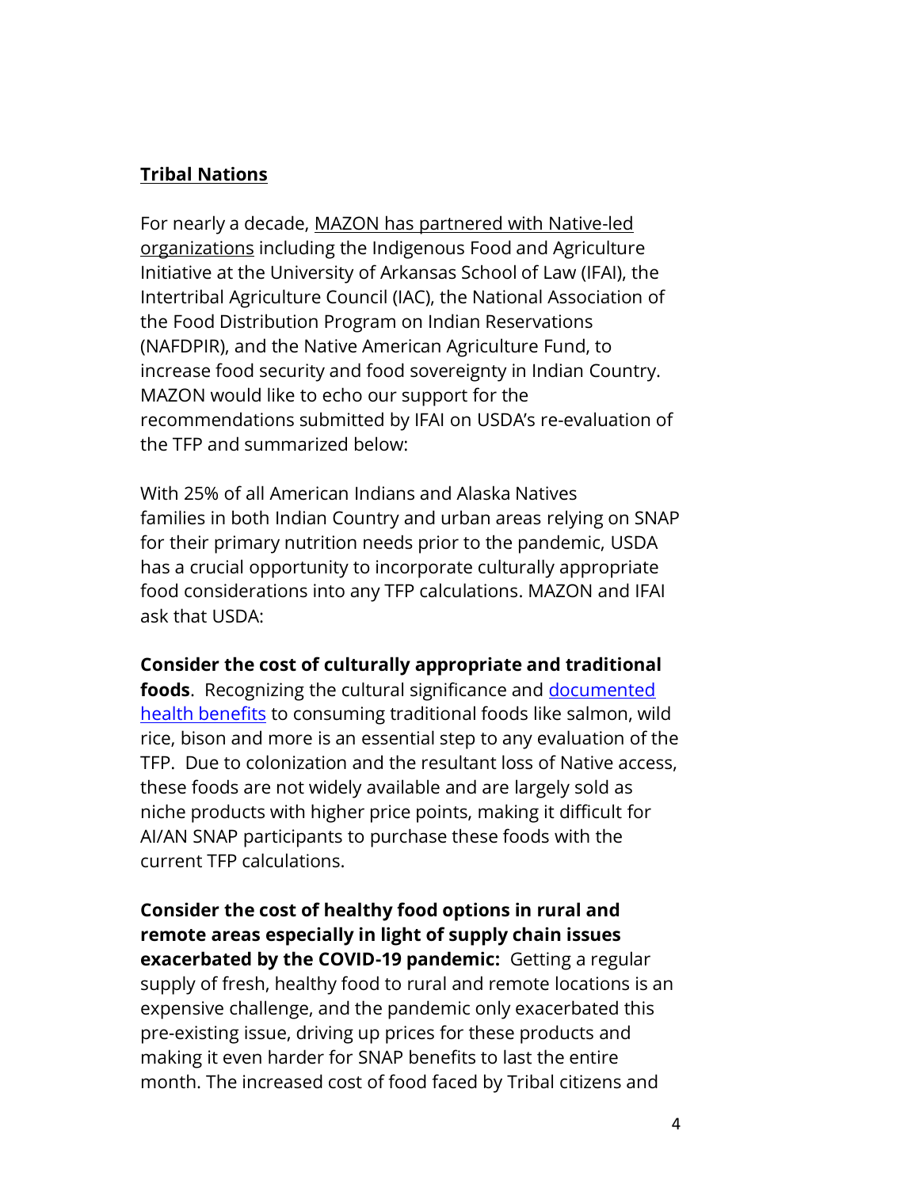### **Tribal Nations**

For nearly a decade, [MAZON has partnered with Native-led](https://mazon.org/priorities/indian-country/)  [organizations](https://mazon.org/priorities/indian-country/) including the Indigenous Food and Agriculture Initiative at the University of Arkansas School of Law (IFAI), the Intertribal Agriculture Council (IAC), the National Association of the Food Distribution Program on Indian Reservations (NAFDPIR), and the Native American Agriculture Fund, to increase food security and food sovereignty in Indian Country. MAZON would like to echo our support for the recommendations submitted by IFAI on USDA's re-evaluation of the TFP and summarized below:

With 25% of all American Indians and Alaska Natives families in both Indian Country and urban areas relying on SNAP for their primary nutrition needs prior to the pandemic, USDA has a crucial opportunity to incorporate culturally appropriate food considerations into any TFP calculations. MAZON and IFAI ask that USDA:

### **Consider the cost of culturally appropriate and traditional**

**foods**. Recognizing the cultural significance and [documented](https://www.hungercenter.org/publications/nutritional-value-and-health-impacts-of-traditional-native-american-foods-a-literature-review/)  [health benefits](https://www.hungercenter.org/publications/nutritional-value-and-health-impacts-of-traditional-native-american-foods-a-literature-review/) to consuming traditional foods like salmon, wild rice, bison and more is an essential step to any evaluation of the TFP. Due to colonization and the resultant loss of Native access, these foods are not widely available and are largely sold as niche products with higher price points, making it difficult for AI/AN SNAP participants to purchase these foods with the current TFP calculations.

**Consider the cost of healthy food options in rural and remote areas especially in light of supply chain issues exacerbated by the COVID-19 pandemic:** Getting a regular supply of fresh, healthy food to rural and remote locations is an expensive challenge, and the pandemic only exacerbated this pre-existing issue, driving up prices for these products and making it even harder for SNAP benefits to last the entire month. The increased cost of food faced by Tribal citizens and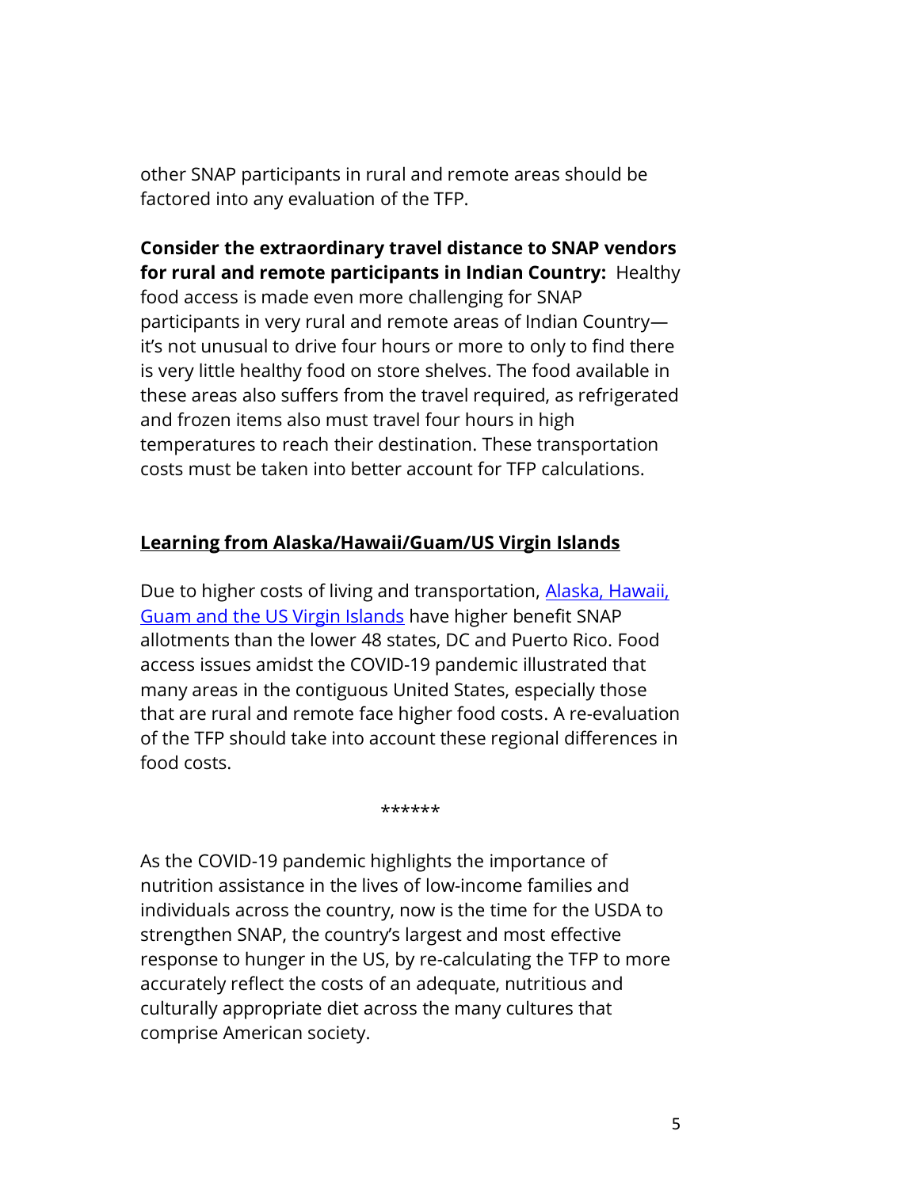other SNAP participants in rural and remote areas should be factored into any evaluation of the TFP.

# **Consider the extraordinary travel distance to SNAP vendors for rural and remote participants in Indian Country:** Healthy

food access is made even more challenging for SNAP participants in very rural and remote areas of Indian Country it's not unusual to drive four hours or more to only to find there is very little healthy food on store shelves. The food available in these areas also suffers from the travel required, as refrigerated and frozen items also must travel four hours in high temperatures to reach their destination. These transportation costs must be taken into better account for TFP calculations.

## **Learning from Alaska/Hawaii/Guam/US Virgin Islands**

Due to higher costs of living and transportation, Alaska, Hawaii, [Guam and the US Virgin Islands](https://www.fns.usda.gov/snap/allotment/COLA) have higher benefit SNAP allotments than the lower 48 states, DC and Puerto Rico. Food access issues amidst the COVID-19 pandemic illustrated that many areas in the contiguous United States, especially those that are rural and remote face higher food costs. A re-evaluation of the TFP should take into account these regional differences in food costs.

\*\*\*\*\*\*

As the COVID-19 pandemic highlights the importance of nutrition assistance in the lives of low-income families and individuals across the country, now is the time for the USDA to strengthen SNAP, the country's largest and most effective response to hunger in the US, by re-calculating the TFP to more accurately reflect the costs of an adequate, nutritious and culturally appropriate diet across the many cultures that comprise American society.